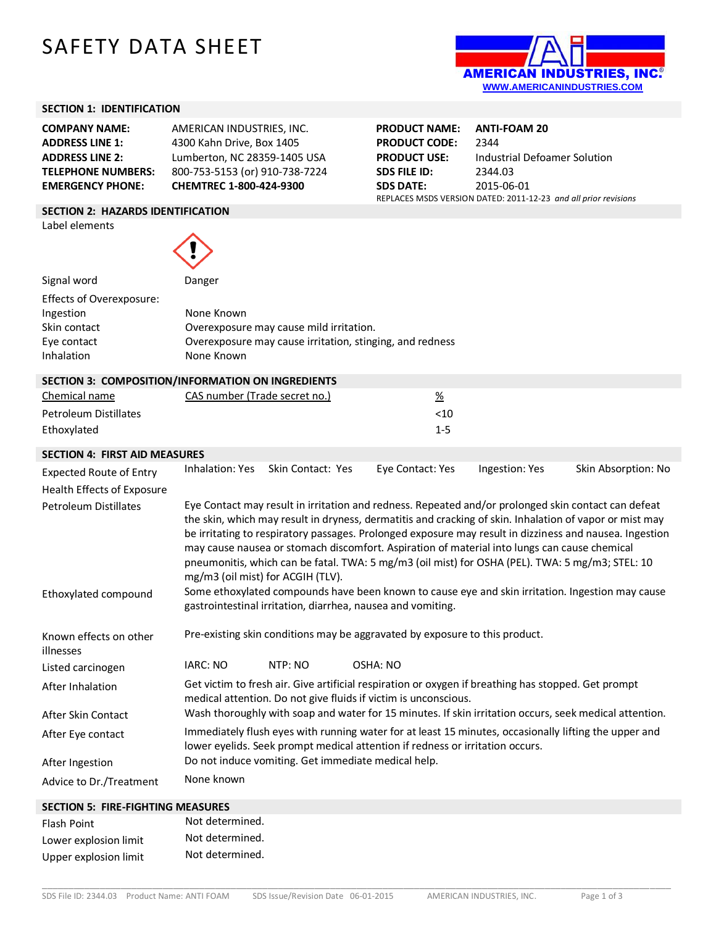# SAFETY DATA SHEET



#### **SECTION 1: IDENTIFICATION**

**COMPANY NAME:** AMERICAN INDUSTRIES, INC. **ADDRESS LINE 1:** 4300 Kahn Drive, Box 1405 **ADDRESS LINE 2:** Lumberton, NC 28359-1405 USA **TELEPHONE NUMBERS:** 800-753-5153 (or) 910-738-7224 **EMERGENCY PHONE: CHEMTREC 1-800-424-9300**

**PRODUCT NAME: ANTI-FOAM 20 PRODUCT CODE:** 2344 **PRODUCT USE:** Industrial Defoamer Solution **SDS FILE ID:** 2344.03 **SDS DATE:** 2015-06-01 REPLACES MSDS VERSION DATED: 2011-12-23 *and all prior revisions*

#### **SECTION 2: HAZARDS IDENTIFICATION**

Label elements



| Signal word              | Danger                                                   |
|--------------------------|----------------------------------------------------------|
| Effects of Overexposure: |                                                          |
| Ingestion                | None Known                                               |
| Skin contact             | Overexposure may cause mild irritation.                  |
| Eye contact              | Overexposure may cause irritation, stinging, and redness |
| Inhalation               | None Known                                               |
|                          |                                                          |

| SECTION 3: COMPOSITION/INFORMATION ON INGREDIENTS |                               |         |  |
|---------------------------------------------------|-------------------------------|---------|--|
| Chemical name                                     | CAS number (Trade secret no.) | %       |  |
| Petroleum Distillates                             |                               | <10     |  |
| Ethoxylated                                       |                               | $1 - 5$ |  |
|                                                   |                               |         |  |

#### **SECTION 4: FIRST AID MEASURES**

| <b>Expected Route of Entry</b><br>Health Effects of Exposure | Inhalation: Yes                                     | Skin Contact: Yes | Eye Contact: Yes                                                                                                                                                                                | Ingestion: Yes | Skin Absorption: No                                                                                                                                                                                                                                                                                                       |
|--------------------------------------------------------------|-----------------------------------------------------|-------------------|-------------------------------------------------------------------------------------------------------------------------------------------------------------------------------------------------|----------------|---------------------------------------------------------------------------------------------------------------------------------------------------------------------------------------------------------------------------------------------------------------------------------------------------------------------------|
| <b>Petroleum Distillates</b>                                 | mg/m3 (oil mist) for ACGIH (TLV).                   |                   | may cause nausea or stomach discomfort. Aspiration of material into lungs can cause chemical<br>pneumonitis, which can be fatal. TWA: 5 mg/m3 (oil mist) for OSHA (PEL). TWA: 5 mg/m3; STEL: 10 |                | Eye Contact may result in irritation and redness. Repeated and/or prolonged skin contact can defeat<br>the skin, which may result in dryness, dermatitis and cracking of skin. Inhalation of vapor or mist may<br>be irritating to respiratory passages. Prolonged exposure may result in dizziness and nausea. Ingestion |
| Ethoxylated compound                                         |                                                     |                   | gastrointestinal irritation, diarrhea, nausea and vomiting.                                                                                                                                     |                | Some ethoxylated compounds have been known to cause eye and skin irritation. Ingestion may cause                                                                                                                                                                                                                          |
| Known effects on other<br>illnesses                          |                                                     |                   | Pre-existing skin conditions may be aggravated by exposure to this product.                                                                                                                     |                |                                                                                                                                                                                                                                                                                                                           |
| Listed carcinogen                                            | <b>IARC: NO</b>                                     | NTP: NO           | OSHA: NO                                                                                                                                                                                        |                |                                                                                                                                                                                                                                                                                                                           |
| After Inhalation                                             |                                                     |                   | Get victim to fresh air. Give artificial respiration or oxygen if breathing has stopped. Get prompt<br>medical attention. Do not give fluids if victim is unconscious.                          |                |                                                                                                                                                                                                                                                                                                                           |
| After Skin Contact                                           |                                                     |                   |                                                                                                                                                                                                 |                | Wash thoroughly with soap and water for 15 minutes. If skin irritation occurs, seek medical attention.                                                                                                                                                                                                                    |
| After Eye contact                                            |                                                     |                   | Immediately flush eyes with running water for at least 15 minutes, occasionally lifting the upper and<br>lower eyelids. Seek prompt medical attention if redness or irritation occurs.          |                |                                                                                                                                                                                                                                                                                                                           |
| After Ingestion                                              | Do not induce vomiting. Get immediate medical help. |                   |                                                                                                                                                                                                 |                |                                                                                                                                                                                                                                                                                                                           |
| Advice to Dr./Treatment                                      | None known                                          |                   |                                                                                                                                                                                                 |                |                                                                                                                                                                                                                                                                                                                           |
|                                                              |                                                     |                   |                                                                                                                                                                                                 |                |                                                                                                                                                                                                                                                                                                                           |

## **SECTION 5: FIRE-FIGHTING MEASURES**

| Flash Point           | Not determined. |
|-----------------------|-----------------|
| Lower explosion limit | Not determined. |
| Upper explosion limit | Not determined. |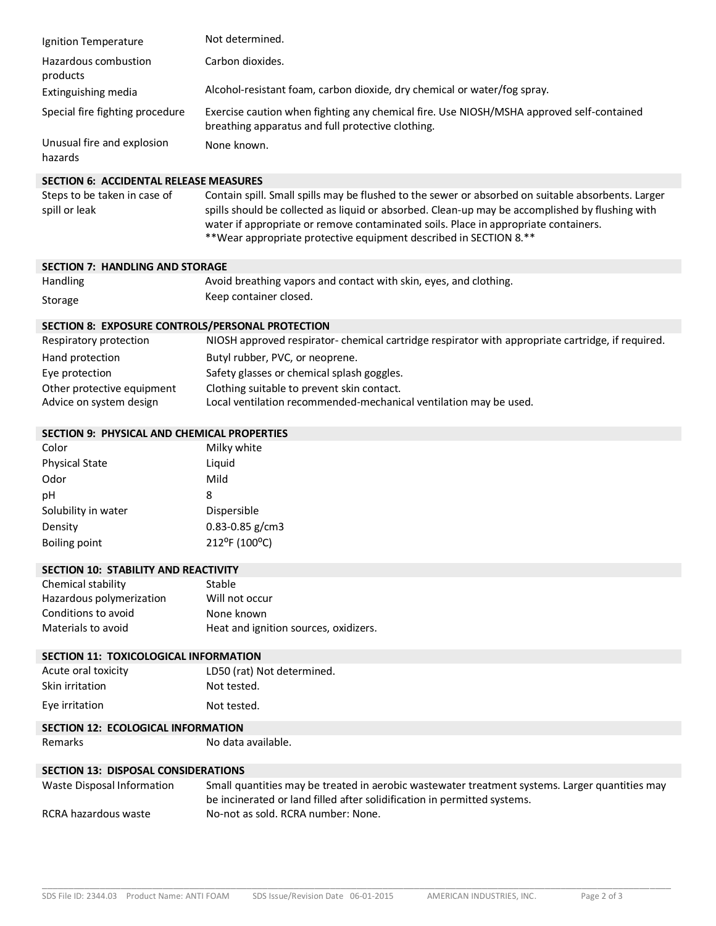| Ignition Temperature                             | Not determined.                                                                                                                                                                                                                                                                                                                                                   |  |  |
|--------------------------------------------------|-------------------------------------------------------------------------------------------------------------------------------------------------------------------------------------------------------------------------------------------------------------------------------------------------------------------------------------------------------------------|--|--|
| Hazardous combustion<br>products                 | Carbon dioxides.                                                                                                                                                                                                                                                                                                                                                  |  |  |
| Extinguishing media                              | Alcohol-resistant foam, carbon dioxide, dry chemical or water/fog spray.                                                                                                                                                                                                                                                                                          |  |  |
| Special fire fighting procedure                  | Exercise caution when fighting any chemical fire. Use NIOSH/MSHA approved self-contained<br>breathing apparatus and full protective clothing.                                                                                                                                                                                                                     |  |  |
| Unusual fire and explosion<br>hazards            | None known.                                                                                                                                                                                                                                                                                                                                                       |  |  |
| <b>SECTION 6: ACCIDENTAL RELEASE MEASURES</b>    |                                                                                                                                                                                                                                                                                                                                                                   |  |  |
| Steps to be taken in case of<br>spill or leak    | Contain spill. Small spills may be flushed to the sewer or absorbed on suitable absorbents. Larger<br>spills should be collected as liquid or absorbed. Clean-up may be accomplished by flushing with<br>water if appropriate or remove contaminated soils. Place in appropriate containers.<br>**Wear appropriate protective equipment described in SECTION 8.** |  |  |
| <b>SECTION 7: HANDLING AND STORAGE</b>           |                                                                                                                                                                                                                                                                                                                                                                   |  |  |
| Handling                                         | Avoid breathing vapors and contact with skin, eyes, and clothing.                                                                                                                                                                                                                                                                                                 |  |  |
| Storage                                          | Keep container closed.                                                                                                                                                                                                                                                                                                                                            |  |  |
| SECTION 8: EXPOSURE CONTROLS/PERSONAL PROTECTION |                                                                                                                                                                                                                                                                                                                                                                   |  |  |

| Respiratory protection     | NIOSH approved respirator- chemical cartridge respirator with appropriate cartridge, if required. |
|----------------------------|---------------------------------------------------------------------------------------------------|
| Hand protection            | Butyl rubber, PVC, or neoprene.                                                                   |
| Eye protection             | Safety glasses or chemical splash goggles.                                                        |
| Other protective equipment | Clothing suitable to prevent skin contact.                                                        |
| Advice on system design    | Local ventilation recommended-mechanical ventilation may be used.                                 |

### **SECTION 9: PHYSICAL AND CHEMICAL PROPERTIES**

| Color                 | Milky white         |
|-----------------------|---------------------|
| <b>Physical State</b> | Liquid              |
| Odor                  | Mild                |
| рH                    | 8                   |
| Solubility in water   | Dispersible         |
| Density               | $0.83 - 0.85$ g/cm3 |
| Boiling point         | 212°F (100°C)       |
|                       |                     |

| <b>SECTION 10: STABILITY AND REACTIVITY</b> |                                       |
|---------------------------------------------|---------------------------------------|
| Chemical stability                          | Stable                                |
| Hazardous polymerization                    | Will not occur                        |
| Conditions to avoid                         | None known                            |
| Materials to avoid                          | Heat and ignition sources, oxidizers. |

## **SECTION 11: TOXICOLOGICAL INFORMATION**

| Acute oral toxicity | LD50 (rat) Not determined. |
|---------------------|----------------------------|
| Skin irritation     | Not tested.                |
| Eye irritation      | Not tested.                |

# **SECTION 12: ECOLOGICAL INFORMATION**<br>Remarks No data

No data available.

# **SECTION 13: DISPOSAL CONSIDERATIONS**

| Waste Disposal Information | Small quantities may be treated in aerobic wastewater treatment systems. Larger quantities may |
|----------------------------|------------------------------------------------------------------------------------------------|
|                            | be incinerated or land filled after solidification in permitted systems.                       |
| RCRA hazardous waste       | No-not as sold. RCRA number: None.                                                             |